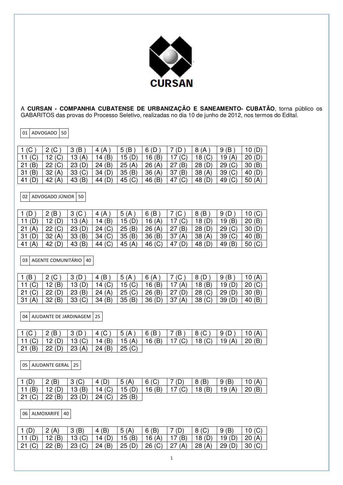

A **CURSAN - COMPANHIA CUBATENSE DE URBANIZAÇÃO E SANEAMENTO- CUBATÃO**, torna público os GABARITOS das provas do Processo Seletivo, realizadas no dia 10 de junho de 2012, nos termos do Edital.

01 ADVOGADO 50

| 1(G)       | 2(C)<br><u>_</u>  | (B)<br>3  | 4 $(A)$                | (B<br>5  | 6(D)   | (C        | 8 (A              | íΒ<br>9           | 10(D)    |
|------------|-------------------|-----------|------------------------|----------|--------|-----------|-------------------|-------------------|----------|
| 11         | 12 <sub>(C)</sub> | 13(A)     | 14(B)                  | 15 $(D)$ | 16(B)  | (C)       | 18 <sub>(C)</sub> | 19 (A)            | 20(D)    |
| (B)<br> 21 | 22 (C)            | 23(D)     | (B)<br>24              | 25(A)    | 26(A)  | (B)<br>27 | 28(D)             | (C)<br>29         | 30(B)    |
| (B)<br> 31 | 32(A)             | (C)<br>33 | (D)<br>34 <sub>1</sub> | 35(B)    | 36(A)  | (B)<br>37 | 38(A)             | 39 <sub>(C)</sub> | 40 (D)   |
| -41        | (A)<br>42         | (B)<br>43 | 44(D)                  | 45 $(C)$ | 46 (B) | (C)<br>47 | 48 (D)            | 49 (C)            | 50 $(A)$ |

02 ADVOGADO JÚNIOR 50

| 1(D)      | (B)<br>0  | $3($ C    | (A<br>4           | 5<br>(A  | 6(B)     | $\sqrt{2}$<br>◡ | 8 (B)  | 9                 | 10(G) |
|-----------|-----------|-----------|-------------------|----------|----------|-----------------|--------|-------------------|-------|
|           | 12(D)     | 13 $(A)$  | 14(B)             | 15(D)    | 16 $(A)$ | (C)             | 18(D)  | (B)<br>19         | 20(B) |
| (A)<br>21 | 22 (C)    | 23(D)     | 24 (C)            | 25(B)    | 26(A)    | (B)<br>27       | 28(D)  | 29(C)             | 30(D) |
| 31        | 32(A)     | (B)<br>33 | 34 <sub>(C)</sub> | 35(B)    | 36(B)    | 37<br>(A)       | 38(A)  | 39 <sub>(C)</sub> | 40(B) |
| (A<br>41  | (D)<br>42 | (B)<br>43 | 44 (C)            | 45 $(A)$ | 46 $(C)$ | (D)<br>47       | 48 (D) | 49<br>(B)         | 50(G) |

03 AGENTE COMUNITÁRIO 40

| 1(B)     |        |        | 4 (B)    | 5(A)          | 6(A)           |            |                   | (B)<br>9 | 10(A)  |
|----------|--------|--------|----------|---------------|----------------|------------|-------------------|----------|--------|
|          | 12 (B) | 13(D)  | 14 $(C)$ | 15 (C)        | $\vert$ 16 (B) | (A)<br>17  | 18(B)             | 19 $(D)$ | 20 (C) |
| 21 (C)   | 22(D)  | 23(B)  | 24(A)    | $\mid$ 25 (C) | $\vert$ 26 (B) | (D)<br>27  | $\vert$ 28 (C)    | 29 (D)   | 30(B)  |
| 31 $(A)$ | 32(B)  | 33 (C) | 34 (B)   | 35 (B)        | 36(D)          | -37<br>(A) | 38 <sub>(C)</sub> | 39       | 40(B)  |

04 | AJUDANTE DE JARDINAGEM | 25

| 1 (C )   2 (B )   3 (D )   4 (C )   5 (A )   6 (B )   7 (B )   8 (C )   9 (D )   10 (A) |  |  |  |  |
|-----------------------------------------------------------------------------------------|--|--|--|--|
| 11 (C)   12 (D)   13 (C)   14 (B)   15 (A)   16 (B)   17 (C)   18 (C)   19 (A)   20 (B) |  |  |  |  |
| 21 (B)   22 (D)   23 (A)   24 (B)   25 (C)                                              |  |  |  |  |

05 AJUDANTE GERAL 25

|                 | $\vert 2 \vert$ (B) | 3(0)                                                         | $\overline{4(D)}$ | 5(A) | 6() | $\overline{7}$ (D) | $\vert 8$ (B) | $\overline{9}$ (B) | 10 $(A)$      |
|-----------------|---------------------|--------------------------------------------------------------|-------------------|------|-----|--------------------|---------------|--------------------|---------------|
| $\vert$ 11 (B)  |                     | 12 (D)   13 (B)   14 (C)   15 (D)   16 (B)   17 (C)   18 (B) |                   |      |     |                    |               | 19 $(A)$           | $\mid$ 20 (B) |
| 21 (C)   22 (B) |                     | 23 (D)   24 (C)   25 (B)                                     |                   |      |     |                    |               |                    |               |

06 ALMOXARIFE 40

| $\overline{2}$ (A) | 4(B) | $-5(A)$ | 6(B) |                                                                                         | 8 <sub>(C)</sub> | $\mid$ 9 (B) |  |
|--------------------|------|---------|------|-----------------------------------------------------------------------------------------|------------------|--------------|--|
|                    |      |         |      | 11 (D)   12 (B)   13 (C)   14 (D)   15 (B)   16 (A)   17 (B)   18 (D)   19 (D)   20 (A) |                  |              |  |
|                    |      |         |      | 21 (C)   22 (B)   23 (C)   24 (B)   25 (D)   26 (C)   27 (A)   28 (A)   29 (D)   30 (C) |                  |              |  |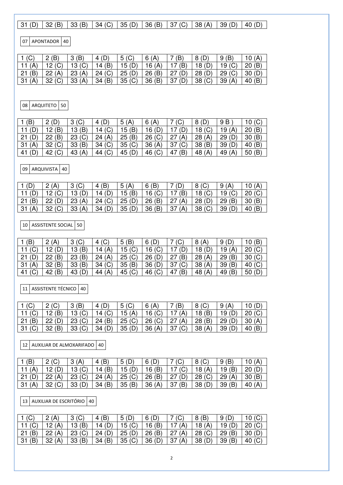## $\boxed{31 (D) \mid 32 (B) \mid 33 (B) \mid 34 (C) \mid 35 (D) \mid 36 (B) \mid 37 (C) \mid 38 (A) \mid 39 (D) \mid 40 (D)}$

07 APONTADOR 40

|           | 2(B)          | 3              | 4(D)  | $5($ C)         | 6(A)  | (B)        | 8(D)              | (B)<br>9      | 10 $(A)$      |
|-----------|---------------|----------------|-------|-----------------|-------|------------|-------------------|---------------|---------------|
| 11 $(A)$  | 12 (C)        | 13 $(C)$       | 14(B) | $15(D)$ 16 (A)  |       | 17(B)      | (D)<br>18         | 19 $(C)$      | 20(B)         |
| (B)<br>21 | $\mid$ 22 (A) | $23(A)$ 24 (C) |       | 25 (D)   26 (B) |       | 127(D)     | 28(D)             | $\mid$ 29 (C) | $\mid$ 30 (D) |
| 31(A)     | 32 (C)        | 33(A)          | 34(B) | 35 (C)          | 36(B) | (D)<br>-37 | 38 <sub>(C)</sub> | 39(A)         | 40(B)         |

08 ARQUITETO 50

| ίB,      | 2(D)                   | (C)<br>3          | (D)<br>4  | 5<br>(A)  | 6(A)      | (C)       | 8(D)      | 9 B      | 10(G)     |
|----------|------------------------|-------------------|-----------|-----------|-----------|-----------|-----------|----------|-----------|
|          | (B)<br>12 <sub>1</sub> | (B)<br>13         | (C)<br>14 | 5<br>(B   | 16(D)     | (D)       | 18        | 19<br>1Δ | 20(B)     |
| 21       | (B)<br>22              | 23 <sub>(C)</sub> | (A)<br>24 | (B)<br>25 | 26(G)     | (A)<br>27 | 28(A)     | 29       | (B)<br>30 |
| 31<br>(A | 32 <sub>(C)</sub>      | (B)<br>33         | (C)<br>34 | (C)<br>35 | 36(A)     | (C)<br>37 | ΈB)<br>38 | 39       | 40(B)     |
| 41       | (C)<br>42              | 43<br>(A)         | 44 (C)    | 45        | (C)<br>46 | (B)<br>47 | 48<br>(A) | 49(A)    | 50(B)     |
|          |                        |                   |           |           |           |           |           |          |           |

09 ARQUIVISTA 40

|          |        | $3($ C $)$ | (B)<br>4       | 5<br>(A) |          |          |                | (A)      |        |
|----------|--------|------------|----------------|----------|----------|----------|----------------|----------|--------|
|          |        | 13(D)      | 14 $(D)$       | 15 (B)   | 16 $(C)$ | (B)      | 18 $(C)$       | 19 $(C)$ | 20(G)  |
| 21(B)    | 22(D)  | 23(A)      | 124 (C)        | 25(D)    | 26(B)    | 27(A)    | $\vert$ 28 (D) | '29(B)   | 30(B)  |
| 31 $(A)$ | 32 (C) | 33 (A)     | $\vert$ 34 (D) | 35(D)    | 36(B)    | 37 $(A)$ | 38 (C)         | 39(D)    | 40 (B) |

 $\vert$  10 ASSISTENTE SOCIAL 50

| (B)       | 2(A)      | 3 <sub>(C)</sub> | (C)               | (B<br>5  | 6(D)     | $\sim$<br>◡ | 8(A)   | (D)<br>9  | 10(B)     |
|-----------|-----------|------------------|-------------------|----------|----------|-------------|--------|-----------|-----------|
| 11 $(C)$  | 12(D)     | 13(B)            | 14 $(A)$          | 15(G)    | $16($ C) |             | 18(D)  | 19 $(A)$  | 20 (C)    |
| 21        | 22(B)     | 23(B)            | 24(A)             | 25 (C)   | 26(D)    | (B)<br>27   | 28(A)  | (B)<br>29 | 30(G)     |
| 31<br>(A) | 32(B)     | 33(B)            | 34 <sub>(C)</sub> | 35(B)    | 36(D)    | (C)<br>37   | 38(A)  | 39<br>(B) | 40 (C)    |
| 41 $(C)$  | (B)<br>42 | 43(D)            | 44 $(A)$          | 45 $(C)$ | 46 (C)   | (B)<br>47   | 48 (A) | (B)<br>49 | (D)<br>50 |

11 ASSISTENTE TÉCNICO 40

| 1 $($ $)$       |        | $\cdot$ (B)<br>3  |                          | $5($ C)      | 6 (A)         | (B)           |        | 9<br>(A)            |        |
|-----------------|--------|-------------------|--------------------------|--------------|---------------|---------------|--------|---------------------|--------|
| $\vert$ 11 (C)  | 12 (B) | 13 <sub>(C)</sub> | 14 <sub>(C)</sub>        | 15 $(A)$     | $\mid$ 16 (C) | (A)           | 18(B)  | 19 (D)              | 20(G)  |
| $\overline{21}$ | 22(D)  | 23 (C)            | 24 (B)   25 (C)   26 (C) |              |               | (A)<br> 27    | '28(B) | $\overline{29}$ (D) | 30(A)  |
| 31              | 132(B) | 33 (C)            | 34(D)                    | 35(D)  36(A) |               | $\mid$ 37 (C) | 38 (A) | 39(D)               | 40 (B) |

12 AUXILIAR DE ALMOXARIFADO 40

| (B)  | 2(C)<br>- | ാ      | (B)<br>4 | 5(D)   | 6(D)     |           | $8($ C   |           |       |
|------|-----------|--------|----------|--------|----------|-----------|----------|-----------|-------|
|      |           | 13()   | 14 $(B)$ | 15 (D) | 16 $(B)$ | 17 $(C)$  | 18 $(A)$ | 19 (B)    |       |
| l 21 | 22(A)     | 23 (C) | 24(A)    | 25 (C) | 26 (B)   | (D)<br>27 | 28 (C)   | 29(A)     | 30(B) |
| l 31 | 32 (C)    | 33(D)  | 34 (B)   | 35(B)  | 36(A)    | (B)<br>37 | 38       | (B)<br>39 | 40    |

13 AUXILIAR DE ESCRITÓRIO 40

|    |       | ັ         | (B)       | 5        |        |            | 8(B)   | 9         |        |
|----|-------|-----------|-----------|----------|--------|------------|--------|-----------|--------|
|    | 12    | 13(B)     | (D)<br>14 | 15 $(C)$ | 16 (B) | (A)        | (A)    | 19        | 20(G)  |
| 21 | 22(A) | 23 (C)    | 24(D)     | l 25 (D) | 26(B)  | (A)<br>27  | 28 (C) | 29(B)     | 30(D)  |
| 31 | 32    | (B)<br>33 | 34 $(B)$  | 35 (C)   | 36(D)  | (A)<br>-37 | 38 (D) | (B)<br>39 | 40 (C) |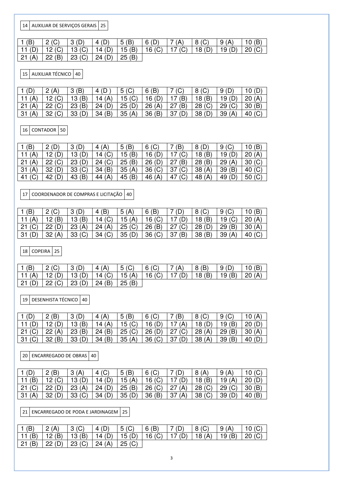14 AUXILIAR DE SERVIÇOS GERAIS 25

| 1(B) | 2(C)<br>$\sim$ 1                                                                        | $\overline{3}$ (D) | $\vert$ 4 (D) | 5(B) | 6(D) | $\mid$ 7 (A) | 8 (C) | $\mid$ 9 (A) |  |
|------|-----------------------------------------------------------------------------------------|--------------------|---------------|------|------|--------------|-------|--------------|--|
|      | 11 (D)   12 (C)   13 (C)   14 (D)   15 (B)   16 (C)   17 (C)   18 (D)   19 (D)   20 (C) |                    |               |      |      |              |       |              |  |
|      | $21(A)$ $22(B)$ $23(C)$ $24(D)$ $25(B)$                                                 |                    |               |      |      |              |       |              |  |

15 AUXILIAR TÉCNICO 40

|          | 2(A)    | 3(B)  |        | $5($ C $)$     | 6(B)           | (C)    | 8 (C)          |          | 10 $(D)$ |
|----------|---------|-------|--------|----------------|----------------|--------|----------------|----------|----------|
| 11 $(A)$ |         | 13(B) | 14 (A) | $\vert$ 15 (C) | 16 (D)         | (B)    | 18(B)          | 19 $(D)$ | 20(A)    |
| 21(A)    | 122 (C) | 23(B) | 124(D) | 125(D)         | 26(A)          | 27(B)  | $\perp$ 28 (C) | 29 (C)   | 30(B)    |
| 31(A)    | 32 (C)  | 33(D) | 34(B)  | $-35(A)$       | $\vert$ 36 (B) | 137(D) | 38(D)          | 39(A)    | 40 (C)   |

16 CONTADOR 50

| (B)       | (D)<br>റ  | (D)<br>2  | (A)<br>4  | (B)<br>5  | $6($ C    | $\mathbf{B}$ | 8(D)      | (C)<br>9  | 10(B)    |
|-----------|-----------|-----------|-----------|-----------|-----------|--------------|-----------|-----------|----------|
| 11 $(A)$  | 12(D)     | 13(D)     | (C)<br>14 | 5<br>(B)  | 16(D)     | (C)          | (B)<br>18 | 19        | 20(A)    |
| (A)<br>21 | (C)<br>22 | (D)<br>23 | (C)<br>24 | 25<br>(B) | (D)<br>26 | (B)<br>27    | (B)<br>28 | (A)<br>29 | 30(G)    |
| 31<br>(A) | (D)<br>32 | (C)<br>33 | (B)<br>34 | 35<br>(A) | 36(G)     | (C)<br>37    | (A)<br>38 | (B)<br>39 | 40 $(C)$ |
| 41        | 42        | (B)<br>43 | (A)<br>44 | (B)<br>45 | (A)<br>46 | (C)<br>47    | (A)<br>48 | 49        | 50 (C)   |

17 COORDENADOR DE COMPRAS E LICITAÇÃO 40

|        |            |        | 4(B)                              | 5<br>(A)        | 6(B)              |               |        |          |       |
|--------|------------|--------|-----------------------------------|-----------------|-------------------|---------------|--------|----------|-------|
|        | 12 (B)     | 13(B)  | 14 $(C)$                          | 15 (A)   16 (C) |                   | (D)           | 18 (B) | 19 $(C)$ | 20(A) |
| 21 (C) | $'$ 22 (D) |        | 23 (A)   24 (A)   25 (C)   26 (B) |                 |                   | $\mid$ 27 (C) | 28(D)  | $-29(B)$ | 30(A) |
| 31(D)  | $-32(A)$   | 33 (C) | 34 (C)                            | 35(D)           | 36 <sub>(C)</sub> | 137(B)        | 38(B)  | 139(A)   | 40 (C |

18 COPEIRA 25

| $\vert$ 1 (B) |                                                                       | 3(D) | 4 $(A)$ | 5()            | $6($ C) | 7(A) | $\vert 8$ (B) | 9(D)            | 10(B) |
|---------------|-----------------------------------------------------------------------|------|---------|----------------|---------|------|---------------|-----------------|-------|
|               | 11 (A)   12 (D)   13 (D)   14 (C)   15 (A)   16 (C)   17 (D)   18 (B) |      |         |                |         |      |               | 19 (B)   20 (A) |       |
|               | 21 (D)   22 (C)   23 (D)   24 (B)                                     |      |         | $\vert$ 25 (B) |         |      |               |                 |       |

19 DESENHISTA TÉCNICO 40

| $\vert$ 1 (D)   | 2(B)   | 3(D)   | 4(A)     | 5(B)            | $6($ C)           | (B)    | 8 <sub>(C)</sub> | $9($ C | 10 $(A)$ |
|-----------------|--------|--------|----------|-----------------|-------------------|--------|------------------|--------|----------|
| $11$ ( $\Gamma$ | 12 (D) | 13(B)  | 14 $(A)$ | $\vert$ 15 (C)  | 16 $(D)$          | (A)    | 18(D)            | 19(B)  | 20(D)    |
| 21 (C)          | 22(A)  | 23 (B) | 124(B)   | 25 (C)   26 (D) |                   | 27 (C) | 28(A)            | 29(B)  | 30(A)    |
| 31/             | 32(B)  | 33(D)  | $-34(B)$ | 35(A)           | 36 <sub>(C)</sub> | 37 (D) | 38(A)            | 39(B)  | 40(D)    |

20 ENCARREGADO DE OBRAS 40

|    | (B)      | ີ<br>ັ            | 4(G)     | 5(B)         | $6($ C |            | 8(A)      |          |        |
|----|----------|-------------------|----------|--------------|--------|------------|-----------|----------|--------|
|    | 12 $(C)$ | 13 $(D)$          | 14 $(D)$ | 15 $(A)$     | 16()   | (D)        | 18(B)     | 19 $(A)$ | 20(D)  |
| 21 | 22(D)    | $23(A)$ 24 (D)    |          | 25(B)  26(C) |        | (A)<br>-27 | 28(G)     | 29 (C)   | 30(B)  |
| 31 | 32(D)    | 33 <sub>(C)</sub> | 34 (D)   | 135(D)       | 36(B)  | (A)<br>37  | $-38$ (C) | 39       | 40 (B) |

21 ENCARREGADO DE PODA E JARDINAGEM 25

| $\vdash$ 1 (B) | $\mid$ 2 (A) | 3(0) | 4(D)  5(C)                                                                              | 6(B) | $\mid$ 7 (D) | 8 (C) | 9(A) | 10 $(C)$ |
|----------------|--------------|------|-----------------------------------------------------------------------------------------|------|--------------|-------|------|----------|
|                |              |      | 11 (B)   12 (B)   13 (B)   14 (D)   15 (D)   16 (C)   17 (D)   18 (A)   19 (B)   20 (C) |      |              |       |      |          |
|                |              |      | 21 (B)   22 (D)   23 (C)   24 (A)   25 (C)                                              |      |              |       |      |          |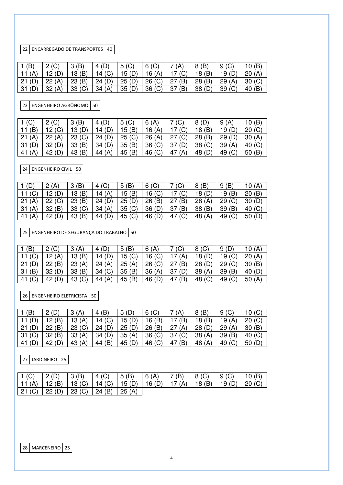22 ENCARREGADO DE TRANSPORTES 40

|          | $\Omega$  | (B)<br>ີ | 4 (D)              | $5($ C) | $6($ C)           | (A)       | 8(B)            | $9($ C $)$ | 10(B) |
|----------|-----------|----------|--------------------|---------|-------------------|-----------|-----------------|------------|-------|
| 11 $(A)$ | 12(D)     | 13(B)    | 14 $(C)$           | 15(D)   | 16 $(A)$          | 17 $(C)$  | 18 (B)          | 19         | 20(A) |
| 21(D)    | 22(A)     | 23(B)    | $\overline{24(D)}$ | 25 (D)  | 26 (C)            | (B)<br>27 | 28(B)           | 29(A)      | 30(C) |
| 31 (D    | (A)<br>32 | 33 (C)   | 34(A)              | 35(D)   | 36 <sub>(C)</sub> | (B)<br>37 | 38 <sub>1</sub> | (C)<br>39  | 40(B) |

23 ENGENHEIRO AGRÔNOMO 50

| 1(G)      | 2(C)                   | (B)<br>3  | (D)<br>4  | (C)<br>5 | $\mathsf{A}$<br>6 ( | (C)       | 8(D)      | 9<br>(A)  | 10(B)     |
|-----------|------------------------|-----------|-----------|----------|---------------------|-----------|-----------|-----------|-----------|
| (B)       | (C)<br>12 <sub>1</sub> | 13(D)     | (D)<br>14 | 5(B)     | 16(A)               | (C)       | 18(B)     | 19        | 20(G)     |
| (A)<br>21 | (A)<br>22              | (C)<br>23 | 24(D)     | 25(G)    | 26(A)               | (C)       | (B)<br>28 | 29        | 30(A)     |
| 31        | (D)<br>32              | (B)<br>33 | (D)<br>34 | 35(B)    | 36(G)               | (D)<br>37 | (C)<br>38 | (A)<br>39 | 40 $(C)$  |
| 41 (A     | 42                     | 43 $(B)$  | 44 $(A)$  | 45 (B)   | 46 (C)              | (A<br>47  | 48        | 49        | (B)<br>50 |
|           |                        |           |           |          |                     |           |           |           |           |

24 ENGENHEIRO CIVIL 50

| 1(D)      | 2(A)      | (B)<br>3          | (C)<br>4 | $\mathbf{B}$<br>5 | $6($ C)  | (C        | 8(B)                   | (B)<br>9  | 10 $(A)$ |
|-----------|-----------|-------------------|----------|-------------------|----------|-----------|------------------------|-----------|----------|
| 11<br>U   |           | 13(B)             | 14 $(A)$ | 5(B)              | $16($ C) | (C)       | 18 (D)                 | (B)<br>19 | 20(B)    |
| (A)<br>21 | 22 (C)    | 23(B)             | 24(D)    | 25(D)             | 26(B)    | (B)<br>27 | 28(A)                  | 29        | 30(D)    |
| (A)<br>31 | (B)<br>32 | 33 <sub>(C)</sub> | 34(A)    | 35(G)             | 36(D)    | (B)<br>37 | (B)<br>38              | 39<br>(B) | 40 $(C)$ |
| (A)<br>41 | 42<br>(D) | (B)<br>43         | 44 (D)   | 45 $(C)$          | 46 (D)   | (C)<br>47 | (A)<br>48 <sup>7</sup> | 49 (C)    | 50(D)    |

 $\sqrt{25}$  ENGENHEIRO DE SEGURANÇA DO TRABALHO  $\sqrt{50}$ 

| Έ         | 2(0)<br>ΙV<br>▃ | (A)<br>o.<br>ت      | 4                      | $\mathbf{B}$<br>5 | 6<br>A)   | ◡         | 8 <sup>(C)</sup> | 9         | 10(A)    |
|-----------|-----------------|---------------------|------------------------|-------------------|-----------|-----------|------------------|-----------|----------|
|           |                 | (B)<br>13           | 14                     | 15 (C)            | $16($ C)  | (A)       | 18               | 19(C)     | 20(A)    |
| 21        | (B)<br>22       | (A)<br>23           | 24(A)                  | 25(A)             | 26 (C)    | (B)<br>27 | 28               | 29        | 30(B)    |
| (B)<br>31 | 32(D)           | (B)<br>33           | (C)<br>34 <sub>1</sub> | 35<br>(B)         | 36(A)     | (D)<br>37 | 38(A)            | 39<br>(B) | 40 (D)   |
| 41        | 42              | $\sim$<br>43<br>ا ب | $\mathsf{A}$<br>44     | (B)<br>45         | (D)<br>46 | ΈB)<br>47 | (C)<br>48        | 49        | 50 $(A)$ |

26 ENGENHEIRO ELETRICISTA 50

| (B) | 2(D)                   | ຈ<br>(A) | (B)               | (D)<br>5 | $6($ C)           | (A)       | 8(B)   | (C)<br>9 | 10 $(C)$ |
|-----|------------------------|----------|-------------------|----------|-------------------|-----------|--------|----------|----------|
|     | (B)<br>12 <sub>1</sub> | 13(A)    | 14 <sub>(C)</sub> | 15 (D)   | 16 $(B)$          | (B)       | 18(B)  | 19 $(A)$ | 20(G)    |
| 21  | (B)<br>22              | 23 (C)   | 24(D)             | 25(D)    | 26(B)             | 27<br>(A) | 28(D)  | 29(A)    | 30(B)    |
| 31  | 32(B)                  | 33(A)    | (D)<br>34         | 35(A)    | 36 <sub>(C)</sub> | (C)<br>37 | 38(A)  | 39(B)    | 40 (C)   |
| 41  | 42                     | 43(A)    | Έ)<br>44          | 45(D)    | 46 (C)            | (B)<br>47 | 48 (A) | 49 (C)   | 50(D)    |

27 JARDINEIRO 25

| $\vert$ 1 (C)   | $\vert 2(D) \vert$                                                    | 3(B)           | $\vert$ 4 (C) | $\vert 5(B) \vert$ | 6(A) | 7(B) | $\vert 8(G) \vert$ | $\mid$ 9 (C)    | 10(B) |
|-----------------|-----------------------------------------------------------------------|----------------|---------------|--------------------|------|------|--------------------|-----------------|-------|
|                 | 11 (A)   12 (B)   13 (C)   14 (C)   15 (D)   16 (D)   17 (A)   18 (B) |                |               |                    |      |      |                    | 19 (D)   20 (C) |       |
| 21 (C)   22 (D) |                                                                       | 23 (C)  24 (B) |               | $\vert$ 25 (A)     |      |      |                    |                 |       |

28 MARCENEIRO 25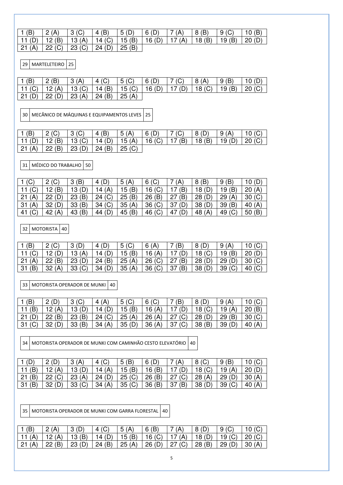| 1 (B)   2 (A)   3 (C)   4 (B)   5 (D)   6 (D)   7 (A)   8 (B)   9 (C)   10 (B)          |  |                                            |  |  |  |
|-----------------------------------------------------------------------------------------|--|--------------------------------------------|--|--|--|
| 11 (D)   12 (B)   13 (A)   14 (C)   15 (B)   16 (D)   17 (A)   18 (B)   19 (B)   20 (D) |  |                                            |  |  |  |
|                                                                                         |  | 21 (A)   22 (C)   23 (C)   24 (D)   25 (B) |  |  |  |

29 MARTELETEIRO 25

| 1(B) | $\vert 2 \vert$ (B)                                                                     | $\mid$ 3 (A) | $\vert$ 4 (C) | 5() | 6(D) | $\mid$ 7 (C) 8 (A) | $\mid$ 9 (B) | $\mid$ 10 (D) |
|------|-----------------------------------------------------------------------------------------|--------------|---------------|-----|------|--------------------|--------------|---------------|
|      | 11 (C)   12 (A)   13 (C)   14 (B)   15 (C)   16 (D)   17 (D)   18 (C)   19 (B)   20 (C) |              |               |     |      |                    |              |               |
|      | $21$ (D) $22$ (D) $23$ (A) $24$ (B) $25$ (A)                                            |              |               |     |      |                    |              |               |

30 MECÂNICO DE MÁQUINAS E EQUIPAMENTOS LEVES 25

| 1(B)           |                                                              | $3($ C) | 4(B)                     | 5(A) | 6(D) | $\mid$ 7 (C) | $\overline{8}$ (D) | $\mid$ 9 (A)   | 10(G)    |
|----------------|--------------------------------------------------------------|---------|--------------------------|------|------|--------------|--------------------|----------------|----------|
|                | 11 (D)   12 (B)   13 (C)   14 (D)   15 (A)   16 (C)   17 (B) |         |                          |      |      |              | $\vert$ 18 (B)     | $\vert$ 19 (D) | 20 $(C)$ |
| $21(A)$ 22 (B) |                                                              |         | 23 (D)   24 (B)   25 (C) |      |      |              |                    |                |          |

31 MÉDICO DO TRABALHO 50

| 1(C)      | 2(C)     | (B)<br>3          | (D)<br>4  | 5<br>(A) | $6($ C)           | (A`       | 8(B)   | (B)<br>9  | 10(D)    |
|-----------|----------|-------------------|-----------|----------|-------------------|-----------|--------|-----------|----------|
| 11 $(C)$  | 12(B)    | 13(D)             | 14 $(A)$  | 15(B)    | $16($ C)          | (B)       | 18(D)  | 19(B)     | 20(A)    |
| (A)<br>21 | 22(D)    | $\cdot$ (B)<br>23 | 24 (C)    | 25(B)    | 26(B)             | (B)<br>27 | 28(D)  | 29<br>(A) | 30(G)    |
| (A)<br>31 | 32(D)    | (B)<br>33         | (C)<br>34 | 35(A)    | 36 <sub>(C)</sub> | (D)<br>37 | 38     | 39<br>(B  | 40 $(A)$ |
| 41        | 42 $(A)$ | (B)<br>43         | (D)<br>44 | 45 $(B)$ | 46 (C)            | (D)<br>47 | 48 (A) | 49        | 50(B)    |

32 MOTORISTA 40

| 1(B)      | $\Omega$ $\Omega$ |             | (D)<br>4 | $5($ C)  | 6 $(A)$  | (B)        | 8(D)              | 9         | 10(G)    |
|-----------|-------------------|-------------|----------|----------|----------|------------|-------------------|-----------|----------|
|           |                   | 13 $(A)$    | 14 $(D)$ | 15 $(B)$ | 16 $(A)$ | (D)        | 18 <sub>(C)</sub> | (B)<br>19 | 20(D)    |
| (A,<br>21 | 22(B)             | 23 (D)      | 24(B)    | 25 (A)   | 26 (C)   | (B)<br>27  | 28(D)             | (D)<br>29 | 30 (C)   |
| -31       | 32(A)             | $33($ C $)$ | 34(D)    | 35(A)    | 36 (C)   | (B)<br>-37 | (D)<br>38         | (C)<br>39 | 40 $(C)$ |

33 MOTORISTA OPERADOR DE MUNKI 40

|        |          | $3($ C $)$ | (A)<br>4       | $5($ C) | $6($ C)  | (B)        | 8(D)              | (A)      |          |
|--------|----------|------------|----------------|---------|----------|------------|-------------------|----------|----------|
|        | 12 $(A)$ | 13 (D)     | 14 $(D)$       | 15(B)   | 16 $(A)$ | 17 $(D)$   | 18 <sub>(C)</sub> | 19 $(A)$ | 20(B)    |
| 21 (D) | 22(B)    | 23(B)      | $\perp$ 24 (C) | 25(A)   | 26(A)    | (C)<br>27  | 28(D)             | 29(B)    | 30 (C)   |
| 31     | 32 (D)   | 33(B)      | 34 $(A)$       | 35(D)   | 36(A)    | (C)<br> 37 | 38 (B)            | 39 (D)   | 40 $(A)$ |

34 MOTORISTA OPERADOR DE MUNKI COM CAMINHÃO CESTO ELEVATÓRIO 40

|           |          | 3(A)   | 4 (C)         | (B)<br>5       | 6(D)     | (A)       | 8 <sub>(C)</sub>  | (B)<br>9  | 10(G)  |
|-----------|----------|--------|---------------|----------------|----------|-----------|-------------------|-----------|--------|
|           | 12 $(A)$ | 13(D)  | 14 $(A)$      | 15(B)          | 16 $(B)$ | (D)       | 18 <sub>(C)</sub> | 19(A)     | 20(D)  |
| (B)<br>21 | 22 (C)   | 23(A)  | $\mid$ 24 (D) | 125 (C)        | 26(B)    | 27 (C)    | 28(A)             | 29(D)     | 30(A)  |
| 31        | 32(D)    | 33 (C) | 34(A)         | $\vert$ 35 (C) | 36(B)    | (B)<br>37 | 38 (D)            | (C)<br>39 | 40 (A) |
|           |          |        |               |                |          |           |                   |           |        |

35 MOTORISTA OPERADOR DE MUNKI COM GARRA FLORESTAL 40

|          | 2(A)                                                                  | 3(D) | 4 <sub>(C)</sub> | 5(A) | 16(B) |                                                              | $\overline{8}$ (D) | 9(C) |               |
|----------|-----------------------------------------------------------------------|------|------------------|------|-------|--------------------------------------------------------------|--------------------|------|---------------|
| l 11 (A) | 12 (A)   13 (B)   14 (D)   15 (B)   16 (C)   17 (A)   18 (D)   19 (C) |      |                  |      |       |                                                              |                    |      | $\mid$ 20 (C) |
| 21(A)    | $\vert$ 22 (B)                                                        |      |                  |      |       | 23 (D)   24 (B)   25 (A)   26 (D)   27 (C)   28 (B)   29 (D) |                    |      | 130(A)        |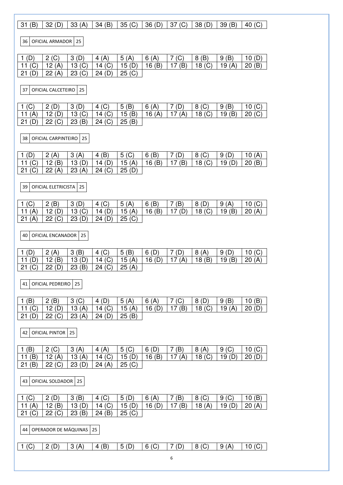| (B)<br>31                     | 32(D)                                 | 33(A)                      | 34(B)                     | 35(G)                  | 36(D)         | 37 <sub>(C)</sub>     | 38(D)            | 39(B)            | 40 $(C)$          |
|-------------------------------|---------------------------------------|----------------------------|---------------------------|------------------------|---------------|-----------------------|------------------|------------------|-------------------|
| 36 I                          | OFICIAL ARMADOR   25                  |                            |                           |                        |               |                       |                  |                  |                   |
| (D)<br>1<br>11 $(C)$<br>21(D) | 2 <sub>(C)</sub><br>12 $(A)$<br>22(A) | 3(D)<br>13(G)<br>23(G)     | 4(A)<br>14 $(C)$<br>24(D) | 5(A)<br>15(D)<br>25(G) | 6(A)<br>16(B) | 7<br>(C)<br>17(B)     | 8(B)<br>18(G)    | 9(B)<br>19 $(A)$ | 10 $(D)$<br>20(B) |
| 37                            | OFICIAL CALCETEIRO                    | 25                         |                           |                        |               |                       |                  |                  |                   |
| (C)<br>L                      | 2(D)                                  | 3(D)                       | 4 <sup>(C)</sup>          | 5(B)                   | 6(A)          | (D)<br>7              | 8 <sub>(C)</sub> | 9(B)             | 10 $(C)$          |
| 11 $(A)$<br>(D)<br>21         | 12 $(D)$<br>22 (C)                    | 13 <sub>(C)</sub><br>23(B) | 14 $(C)$<br>24 (C)        | 15(B)<br>25(B)         | 16 $(A)$      | 17 $(A)$              | 18(G)            | 19(B)            | 20(G)             |
| 38                            | OFICIAL CARPINTEIRO                   | 25                         |                           |                        |               |                       |                  |                  |                   |
| (D)                           | 2(A)                                  | 3(A)                       | 4(B)                      | $5($ C)                | 6(B)<br>16(B) | 7<br>(D)              | 8 <sub>(C)</sub> | 9(D)             | 10 $(A)$          |
| 11 $(C)$<br>(C)<br>21         | 12 $(B)$<br>22(A)                     | 13(D)<br>23(A)             | 14 $(D)$<br>24 (C)        | 15 $(A)$<br>25(D)      |               | 17<br>(B)             | 18(G)            | 19 $(D)$         | 20(B)             |
| 39                            | OFICIAL ELETRICISTA                   | 25                         |                           |                        |               |                       |                  |                  |                   |
| (C)<br>1                      | 2(B)                                  | 3(D)                       | 4(C)                      | 5(A)                   | 6(B)          | $\overline{7}$<br>(B) | 8(D)             | 9(A)             | 10 $(C)$          |
| 11 $(A)$<br>21<br>(A)         | 12 $(D)$<br>22 (C)                    | 13()<br>23(D)              | 14 $(D)$<br>24(D)         | 15 $(A)$<br>25(G)      | 16(B)         | 17(D)                 | 18(G)            | 19(B)            | 20(A)             |
| 40                            | <b>OFICIAL ENCANADOR</b>              | 25                         |                           |                        |               |                       |                  |                  |                   |
| (D)<br>1.                     | 2(A)                                  | 3(B)                       | 4(C)                      | 5(B)                   | 6(D)          | $\overline{7}$<br>(D) | 8(A)             | 9(D)             | 10 $(C)$          |
| 11 $(D)$<br>21 (C)            | 12(B)<br>22(D)                        | 13(D)<br>23(B)             | 14 $(C)$<br>24 (C)        | 15 $(A)$<br>25(A)      | 16(D)         | 17 $(A)$              | 18(B)            | 19(B)            | 20(A)             |
| 41                            | <b>OFICIAL PEDREIRO</b>               | 25                         |                           |                        |               |                       |                  |                  |                   |
| (B)<br>1                      | 2(B)                                  | 3 <sup>(C)</sup>           | 4 $(D)$                   | 5(A)                   | 6(A)          | (C)<br>7              | 8(D)             | 9(B)             | 10 $(B)$          |
| 11 $(C)$<br>21<br>(D)         | 12 $(D)$<br>22 (C)                    | 13(A)<br>23(A)             | 14 $(C)$<br>24(D)         | 15 $(A)$<br>25(B)      | 16(D)         | 17(B)                 | 18(G)            | 19 $(A)$         | 20(D)             |
|                               |                                       |                            |                           |                        |               |                       |                  |                  |                   |
| 42                            | OFICIAL PINTOR                        | 25                         |                           |                        |               |                       |                  |                  |                   |
| (B)<br>1                      | 2 <sub>(C)</sub>                      | 3(A)                       | 4 $(A)$                   | $5($ C)                | 6(D)          | 7<br>(B)              | 8(A)             | $9($ C           | 10 $(C)$          |
| 11 (B)<br>(B)<br>21           | 12 $(A)$<br>22 (C)                    | 13 $(A)$<br>23(D)          | 14 $(C)$<br>24(A)         | 15(D)<br>25<br>(C)     | 16 $(B)$      | 17 $(A)$              | 18(G)            | 19 $(D)$         | 20(D)             |
| 43                            | OFICIAL SOLDADOR                      | 25                         |                           |                        |               |                       |                  |                  |                   |
| (C)<br>1                      | 2(D)                                  | 3(B)                       | 4 (C)                     | 5(D)                   | 6(A)          | (B)<br>7              | 8 <sub>(C)</sub> | $9($ C           | 10 $(B)$          |
| 11 $(A)$                      | 12 $(B)$                              | 13(D)                      | 14<br>(C)                 | 15(D)                  | 16 $(D)$      | 17(B)                 | 18(A)            | 19(D)            | 20(A)             |
| 21<br>(C)                     | 22 (C)                                | 23(B)                      | (B)<br>24                 | 25(G)                  |               |                       |                  |                  |                   |
| 44                            | OPERADOR DE MÁQUINAS   25             |                            |                           |                        |               |                       |                  |                  |                   |
| 1 <sub>(C)</sub>              | 2(D)                                  | 3(A)                       | 4(B)                      | 5(D)                   | $6($ C)       | (D)<br>7              | 8 <sub>(C)</sub> | 9(A)             | 10 $(C)$          |
|                               |                                       |                            |                           |                        |               | 6                     |                  |                  |                   |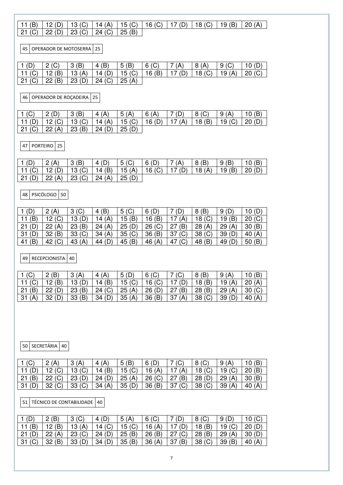## 11 (B) 12 (D) 13 (C) 14 (A) 15 (C) 16 (C) 17 (D) 18 (C) 19 (B) 20 (A) 21 (C) 22 (D) 23 (C) 24 (C) 25 (B)

45 OPERADOR DE MOTOSERRA 25

| $1(D)$ 2 (C) |                                                                                         | $\vert 3 \vert (B) \vert 4 \vert (B) \vert 5 \vert (B) \vert 6 \vert (C) \vert 7 \vert (A) \vert 8 \vert (A) \vert 9 \vert (C) \vert 10 \vert (D)$ |  |  |  |
|--------------|-----------------------------------------------------------------------------------------|----------------------------------------------------------------------------------------------------------------------------------------------------|--|--|--|
|              | 11 (C)   12 (B)   13 (A)   14 (D)   15 (C)   16 (B)   17 (D)   18 (C)   19 (A)   20 (C) |                                                                                                                                                    |  |  |  |
|              | 21 (C)   22 (B)   23 (D)   24 (C)   25 (A)                                              |                                                                                                                                                    |  |  |  |

46 OPERADOR DE ROÇADEIRA 25

| 1(C)            | $\vert 2(D) \vert$                                                                      | $\vert 3 \vert$ (B) | $\vert$ 4 (A)       | $\vert 5(A) \vert$ | 6(A) | 7(D)  8(C) | $\mid$ 9 (A) | 10(B) |
|-----------------|-----------------------------------------------------------------------------------------|---------------------|---------------------|--------------------|------|------------|--------------|-------|
|                 | 11 (D)   12 (C)   13 (C)   14 (A)   15 (C)   16 (D)   17 (A)   18 (B)   19 (C)   20 (D) |                     |                     |                    |      |            |              |       |
| $21 (C)$ 22 (A) |                                                                                         |                     | 23(B)  24(D)  25(D) |                    |      |            |              |       |

47 PORTEIRO 25

| 1(D) | $ 2(A)  3(B)  4(D)  5(C)  6(D)  7(A)  8(B)  9(B)$                                       |  |  |  | $\vert$ 10 (B) |
|------|-----------------------------------------------------------------------------------------|--|--|--|----------------|
|      | 11 (C)   12 (D)   13 (C)   14 (B)   15 (A)   16 (C)   17 (D)   18 (A)   19 (B)   20 (D) |  |  |  |                |
|      | 21 (D)   22 (A)   23 (C)   24 (A)   25 (D)                                              |  |  |  |                |

48 PSICÓLOGO 50

| 1 (D)     | 2(A)              | 3 <sup>(C)</sup>  | (B)<br>4 | $5($ C)           | 6(D)     |           | 8(B)              | 9      | 10(D)    |
|-----------|-------------------|-------------------|----------|-------------------|----------|-----------|-------------------|--------|----------|
| 11(B)     | 12 (C)            | 13(D)             | 14 $(A)$ | 15(B)             | 16(B)    | (A)       | 18(G)             | 19(B)  | 20 (C)   |
| 21        | 22(A)             | 23(B)             | 24(A)    | 25(D)             | 26 (C)   | (B)<br>27 | 28(A)             | 29(A)  | 30(B)    |
| -31       | 32(B)             | 33 <sub>(C)</sub> | 34(A)    | 35 <sub>(C)</sub> | 36(B)    | (C)<br>37 | 38 <sub>(C)</sub> | 39(D)  | 40 $(A)$ |
| (B)<br>41 | 42 <sub>(C)</sub> | 43 $(A)$          | 44 (D)   | 45 (B)            | 46 $(A)$ | (C)<br>47 | 48 (B)            | 49 (D) | 50(B)    |

49 RECEPCIONISTA 40

|       | 2(B)     | <b>2</b> (A) | 4(A)      | 5(D)     | $6($ C) |            | 8 (B)             | (A)      |        |
|-------|----------|--------------|-----------|----------|---------|------------|-------------------|----------|--------|
|       | 12 $(B)$ | 13(D)        | 14 $(B)$  | 15 $(C)$ | 16()    | (D)        | 18 (B)            | 19 $(A)$ | 20(A)  |
| 21    | 22(D)    | 23(B)        | $-24$ (C) | 25(A)    | 26(D)   | (B)<br>27  | $-28(B)$          | 29 (A)   | 30 (C) |
| 31(A) | 32(D)    | 33 (B)       | 34(D)     | 35(A)    | 36(B)   | (A)<br> 37 | 38 <sub>(C)</sub> | 39 (D)   | 40 (A  |

50 SECRETÁRIA 40

|         | 2(A)              | (A       | 4 (A)  | (B)<br>5 <sub>1</sub> |        | (C)       | 8 <sub>(C)</sub>  | 9<br>(A) |          |
|---------|-------------------|----------|--------|-----------------------|--------|-----------|-------------------|----------|----------|
|         | 12 $(C)$          | 13 $(C)$ | 14 (B) | 15 $(C)$              | 16(A)  | (A)       | 18 $(C)$          | 19 $(C)$ | 20(B)    |
| 21      | 22 (C)            | 23(D)    | 124(D) | $-25(A)$              | 26 (C) | (B)<br>27 | 28 (D)            | 29(A)    | 30(B)    |
| l 31 (E | 32 <sub>(C)</sub> | 33 (C)   | 34(A)  | 35(D)                 | 36(B)  | 37 (C)    | 38 <sub>(C)</sub> | 39(A)    | (A<br>40 |

51 TÉCNICO DE CONTABILIDADE 40

|        | 2(B)  | $3($ C $)$     | 4 (D)    | 5(A)   | $6($ C) | (D)     | 8 (C)  | 9(D)              | 10 $(C)$ |
|--------|-------|----------------|----------|--------|---------|---------|--------|-------------------|----------|
| (B)    | 12(B) | 13 $(A)$       | 14 $(C)$ | 15 (C) | 16(A)   | 17 (D)  | 18 (B) | 19 <sub>(C)</sub> | 20(D)    |
| 21(D)  | 22(A) | $\vert$ 23 (C) | 24(D)    | 25(B)  | 126(B)  | 127 (C) | 28(B)  | $-29(A)$          | 30(D)    |
| 31 (C) | 32(B) | 33(D)          | 34 $(D)$ | 35(B)  | 36(A)   | 37(B)   | 38 (C) | 39(B)             | 40 $(A)$ |